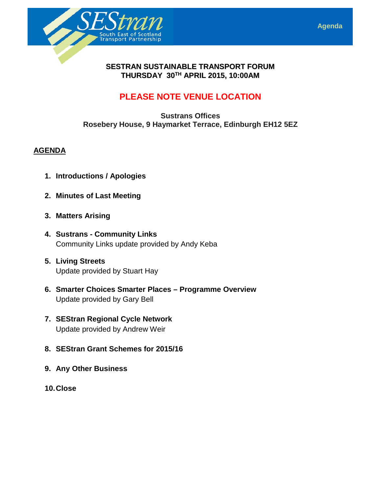



### **SESTRAN SUSTAINABLE TRANSPORT FORUM THURSDAY 30TH APRIL 2015, 10:00AM**

## **PLEASE NOTE VENUE LOCATION**

**Sustrans Offices Rosebery House, 9 Haymarket Terrace, Edinburgh EH12 5EZ**

### **AGENDA**

- **1. Introductions / Apologies**
- **2. Minutes of Last Meeting**
- **3. Matters Arising**
- **4. Sustrans - Community Links** Community Links update provided by Andy Keba
- **5. Living Streets**  Update provided by Stuart Hay
- **6. Smarter Choices Smarter Places – Programme Overview** Update provided by Gary Bell
- **7. SEStran Regional Cycle Network**  Update provided by Andrew Weir
- **8. SEStran Grant Schemes for 2015/16**
- **9. Any Other Business**
- **10.Close**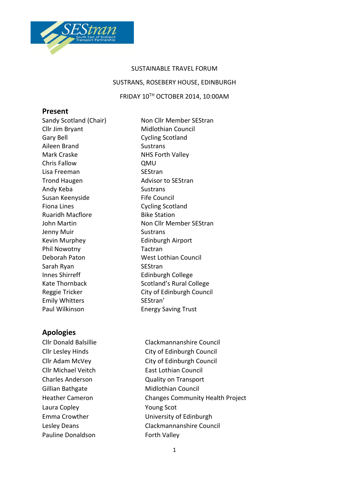

# SUSTAINABLE TRAVEL FORUM SUSTRANS, ROSEBERY HOUSE, EDINBURGH FRIDAY 10TH OCTOBER 2014, 10:00AM

#### **Present**

Sandy Scotland (Chair) Non Cllr Member SEStran Cllr Jim Bryant Midlothian Council Gary Bell Cycling Scotland Aileen Brand Sustrans Mark Craske NHS Forth Valley Chris Fallow QMU Lisa Freeman SEStran Trond Haugen **Advisor to SEStran** Andy Keba Sustrans Susan Keenyside Fife Council Fiona Lines **Cycling Scotland** Ruaridh Macflore **Bike Station** Jenny Muir Sustrans Kevin Murphey **Edinburgh Airport** Phil Nowotny **Tactran** Deborah Paton West Lothian Council Sarah Ryan SEStran Innes Shirreff Edinburgh College Emily Whitters SEStran' Paul Wilkinson **Energy Saving Trust** 

John Martin Non Cllr Member SEStran Kate Thornback Scotland's Rural College Reggie Tricker City of Edinburgh Council

## **Apologies**

Cllr Michael Veitch East Lothian Council Gillian Bathgate Midlothian Council Laura Copley **The Copley Copyright Copyright Copyright Copyright Copyright Copyright Copyright Copyright Copyright Copyright Copyright Copyright Copyright Copyright Copyright Copyright Copyright Copyright Copyright Copyrig** Pauline Donaldson Forth Valley

Cllr Donald Balsillie Clackmannanshire Council Cllr Lesley Hinds City of Edinburgh Council Cllr Adam McVey City of Edinburgh Council Charles Anderson Quality on Transport Heather Cameron Changes Community Health Project Emma Crowther University of Edinburgh Lesley Deans Clackmannanshire Council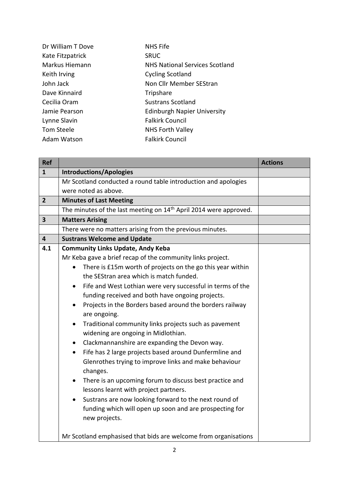| Dr William T Dove | <b>NHS Fife</b>                       |
|-------------------|---------------------------------------|
| Kate Fitzpatrick  | <b>SRUC</b>                           |
| Markus Hiemann    | <b>NHS National Services Scotland</b> |
| Keith Irving      | <b>Cycling Scotland</b>               |
| John Jack         | Non Cllr Member SEStran               |
| Dave Kinnaird     | Tripshare                             |
| Cecilia Oram      | <b>Sustrans Scotland</b>              |
| Jamie Pearson     | <b>Edinburgh Napier University</b>    |
| Lynne Slavin      | <b>Falkirk Council</b>                |
| Tom Steele        | <b>NHS Forth Valley</b>               |
| Adam Watson       | <b>Falkirk Council</b>                |

| <b>Ref</b>              |                                                                                                               | <b>Actions</b> |
|-------------------------|---------------------------------------------------------------------------------------------------------------|----------------|
| $\mathbf{1}$            | <b>Introductions/Apologies</b>                                                                                |                |
|                         | Mr Scotland conducted a round table introduction and apologies                                                |                |
|                         | were noted as above.                                                                                          |                |
| $\overline{2}$          | <b>Minutes of Last Meeting</b>                                                                                |                |
|                         | The minutes of the last meeting on 14 <sup>th</sup> April 2014 were approved.                                 |                |
| $\overline{\mathbf{3}}$ | <b>Matters Arising</b>                                                                                        |                |
|                         | There were no matters arising from the previous minutes.                                                      |                |
| 4                       | <b>Sustrans Welcome and Update</b>                                                                            |                |
| 4.1                     | <b>Community Links Update, Andy Keba</b>                                                                      |                |
|                         | Mr Keba gave a brief recap of the community links project.                                                    |                |
|                         | There is £15m worth of projects on the go this year within<br>$\bullet$                                       |                |
|                         | the SEStran area which is match funded.                                                                       |                |
|                         | Fife and West Lothian were very successful in terms of the<br>$\bullet$                                       |                |
|                         | funding received and both have ongoing projects.                                                              |                |
|                         | Projects in the Borders based around the borders railway<br>$\bullet$<br>are ongoing.                         |                |
|                         | Traditional community links projects such as pavement<br>$\bullet$<br>widening are ongoing in Midlothian.     |                |
|                         | Clackmannanshire are expanding the Devon way.<br>$\bullet$                                                    |                |
|                         | Fife has 2 large projects based around Dunfermline and<br>$\bullet$                                           |                |
|                         | Glenrothes trying to improve links and make behaviour<br>changes.                                             |                |
|                         | There is an upcoming forum to discuss best practice and<br>$\bullet$<br>lessons learnt with project partners. |                |
|                         | Sustrans are now looking forward to the next round of                                                         |                |
|                         | funding which will open up soon and are prospecting for<br>new projects.                                      |                |
|                         | Mr Scotland emphasised that bids are welcome from organisations                                               |                |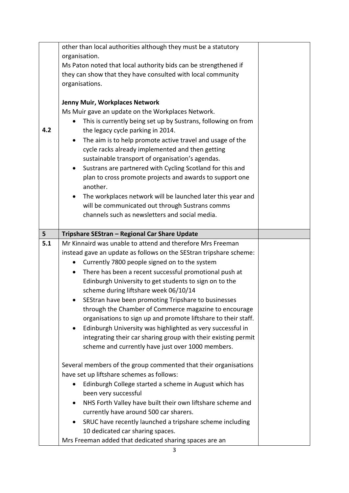|                | other than local authorities although they must be a statutory          |  |
|----------------|-------------------------------------------------------------------------|--|
|                | organisation.                                                           |  |
|                | Ms Paton noted that local authority bids can be strengthened if         |  |
|                | they can show that they have consulted with local community             |  |
|                | organisations.                                                          |  |
|                |                                                                         |  |
|                |                                                                         |  |
|                | Jenny Muir, Workplaces Network                                          |  |
|                | Ms Muir gave an update on the Workplaces Network.                       |  |
|                | This is currently being set up by Sustrans, following on from           |  |
| 4.2            | the legacy cycle parking in 2014.                                       |  |
|                | The aim is to help promote active travel and usage of the               |  |
|                | cycle racks already implemented and then getting                        |  |
|                | sustainable transport of organisation's agendas.                        |  |
|                | Sustrans are partnered with Cycling Scotland for this and<br>$\bullet$  |  |
|                | plan to cross promote projects and awards to support one                |  |
|                | another.                                                                |  |
|                |                                                                         |  |
|                | The workplaces network will be launched later this year and             |  |
|                | will be communicated out through Sustrans comms                         |  |
|                | channels such as newsletters and social media.                          |  |
|                |                                                                         |  |
| 5 <sup>1</sup> | Tripshare SEStran - Regional Car Share Update                           |  |
| 5.1            | Mr Kinnaird was unable to attend and therefore Mrs Freeman              |  |
|                |                                                                         |  |
|                | instead gave an update as follows on the SEStran tripshare scheme:      |  |
|                |                                                                         |  |
|                | Currently 7800 people signed on to the system                           |  |
|                | There has been a recent successful promotional push at<br>$\bullet$     |  |
|                | Edinburgh University to get students to sign on to the                  |  |
|                | scheme during liftshare week 06/10/14                                   |  |
|                | SEStran have been promoting Tripshare to businesses                     |  |
|                | through the Chamber of Commerce magazine to encourage                   |  |
|                | organisations to sign up and promote liftshare to their staff.          |  |
|                | Edinburgh University was highlighted as very successful in<br>$\bullet$ |  |
|                | integrating their car sharing group with their existing permit          |  |
|                | scheme and currently have just over 1000 members.                       |  |
|                |                                                                         |  |
|                |                                                                         |  |
|                | Several members of the group commented that their organisations         |  |
|                | have set up liftshare schemes as follows:                               |  |
|                | Edinburgh College started a scheme in August which has                  |  |
|                | been very successful                                                    |  |
|                | NHS Forth Valley have built their own liftshare scheme and              |  |
|                | currently have around 500 car sharers.                                  |  |
|                | SRUC have recently launched a tripshare scheme including<br>$\bullet$   |  |
|                | 10 dedicated car sharing spaces.                                        |  |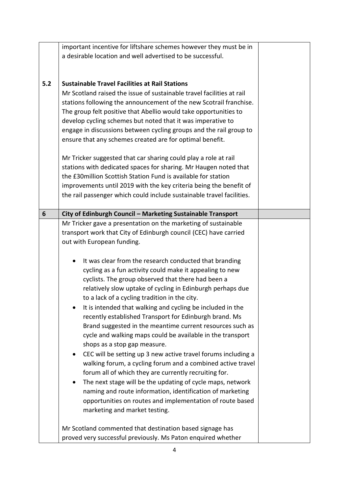|                | important incentive for liftshare schemes however they must be in                                                                                                                                                                                                                                                                                                                                                                                                                                                                                                                                                                                                                                                                                                                                                                                                                                                                                                                                                                                                                                                                                                                                                                                                                                 |  |
|----------------|---------------------------------------------------------------------------------------------------------------------------------------------------------------------------------------------------------------------------------------------------------------------------------------------------------------------------------------------------------------------------------------------------------------------------------------------------------------------------------------------------------------------------------------------------------------------------------------------------------------------------------------------------------------------------------------------------------------------------------------------------------------------------------------------------------------------------------------------------------------------------------------------------------------------------------------------------------------------------------------------------------------------------------------------------------------------------------------------------------------------------------------------------------------------------------------------------------------------------------------------------------------------------------------------------|--|
|                | a desirable location and well advertised to be successful.                                                                                                                                                                                                                                                                                                                                                                                                                                                                                                                                                                                                                                                                                                                                                                                                                                                                                                                                                                                                                                                                                                                                                                                                                                        |  |
|                |                                                                                                                                                                                                                                                                                                                                                                                                                                                                                                                                                                                                                                                                                                                                                                                                                                                                                                                                                                                                                                                                                                                                                                                                                                                                                                   |  |
| 5.2            | <b>Sustainable Travel Facilities at Rail Stations</b><br>Mr Scotland raised the issue of sustainable travel facilities at rail<br>stations following the announcement of the new Scotrail franchise.<br>The group felt positive that Abellio would take opportunities to<br>develop cycling schemes but noted that it was imperative to<br>engage in discussions between cycling groups and the rail group to<br>ensure that any schemes created are for optimal benefit.<br>Mr Tricker suggested that car sharing could play a role at rail<br>stations with dedicated spaces for sharing. Mr Haugen noted that<br>the £30 million Scottish Station Fund is available for station<br>improvements until 2019 with the key criteria being the benefit of<br>the rail passenger which could include sustainable travel facilities.                                                                                                                                                                                                                                                                                                                                                                                                                                                                 |  |
| $6\phantom{1}$ | City of Edinburgh Council - Marketing Sustainable Transport                                                                                                                                                                                                                                                                                                                                                                                                                                                                                                                                                                                                                                                                                                                                                                                                                                                                                                                                                                                                                                                                                                                                                                                                                                       |  |
|                | Mr Tricker gave a presentation on the marketing of sustainable<br>transport work that City of Edinburgh council (CEC) have carried<br>out with European funding.<br>It was clear from the research conducted that branding<br>cycling as a fun activity could make it appealing to new<br>cyclists. The group observed that there had been a<br>relatively slow uptake of cycling in Edinburgh perhaps due<br>to a lack of a cycling tradition in the city.<br>It is intended that walking and cycling be included in the<br>recently established Transport for Edinburgh brand. Ms<br>Brand suggested in the meantime current resources such as<br>cycle and walking maps could be available in the transport<br>shops as a stop gap measure.<br>CEC will be setting up 3 new active travel forums including a<br>walking forum, a cycling forum and a combined active travel<br>forum all of which they are currently recruiting for.<br>The next stage will be the updating of cycle maps, network<br>٠<br>naming and route information, identification of marketing<br>opportunities on routes and implementation of route based<br>marketing and market testing.<br>Mr Scotland commented that destination based signage has<br>proved very successful previously. Ms Paton enquired whether |  |